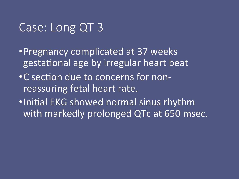## Case: Long QT 3

- Pregnancy complicated at 37 weeks gestational age by irregular heart beat
- C section due to concerns for nonreassuring fetal heart rate.
- •Initial EKG showed normal sinus rhythm with markedly prolonged QTc at 650 msec.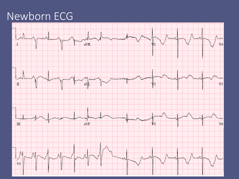### Newborn ECG

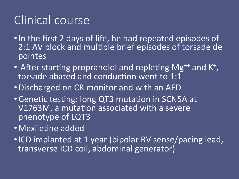# Clinical course

- In the first 2 days of life, he had repeated episodes of 2:1 AV block and multiple brief episodes of torsade de pointes
- After starting propranolol and repleting Mg<sup>++</sup> and K<sup>+</sup>, torsade abated and conduction went to 1:1
- Discharged on CR monitor and with an AED
- Genetic testing: long QT3 mutation in SCN5A at V1763M, a mutation associated with a severe phenotype of LQT3
- Mexiletine added
- ICD implanted at 1 year (bipolar RV sense/pacing lead, transverse ICD coil, abdominal generator)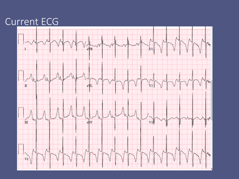#### Current ECG

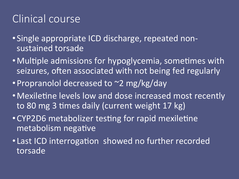## Clinical course

- Single appropriate ICD discharge, repeated nonsustained torsade
- Multiple admissions for hypoglycemia, sometimes with seizures, often associated with not being fed regularly
- Propranolol decreased to ~2 mg/kg/day
- Mexiletine levels low and dose increased most recently to 80 mg 3 times daily (current weight 17 kg)
- CYP2D6 metabolizer testing for rapid mexiletine metabolism negative
- Last ICD interrogation showed no further recorded torsade